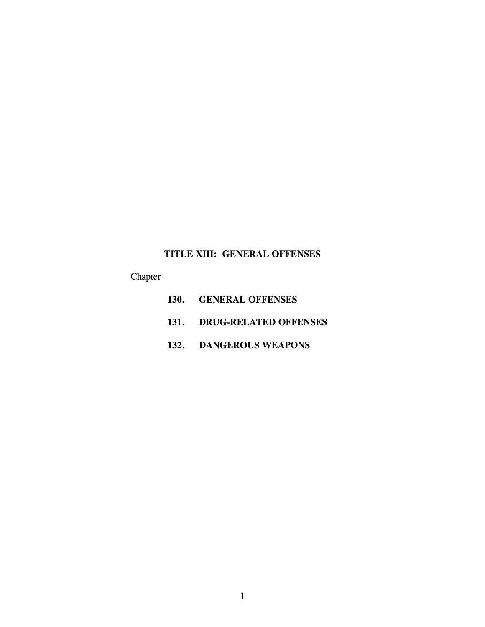# **TITLE XIII: GENERAL OFFENSES**

Chapter

- **130. GENERAL OFFENSES**
- **131. DRUG-RELATED OFFENSES**
- **132. DANGEROUS WEAPONS**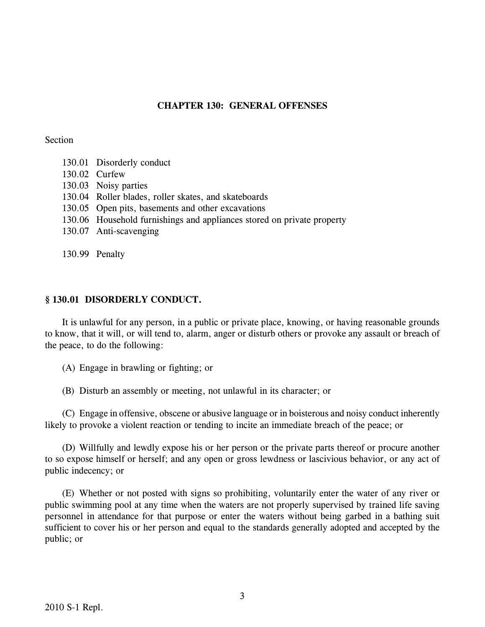# **CHAPTER 130: GENERAL OFFENSES**

## Section

- 130.01 Disorderly conduct
- 130.02 Curfew
- 130.03 Noisy parties
- 130.04 Roller blades, roller skates, and skateboards
- 130.05 Open pits, basements and other excavations
- 130.06 Household furnishings and appliances stored on private property
- 130.07 Anti-scavenging

130.99 Penalty

# **§ 130.01 DISORDERLY CONDUCT.**

It is unlawful for any person, in a public or private place, knowing, or having reasonable grounds to know, that it will, or will tend to, alarm, anger or disturb others or provoke any assault or breach of the peace, to do the following:

(A) Engage in brawling or fighting; or

(B) Disturb an assembly or meeting, not unlawful in its character; or

(C) Engage in offensive, obscene or abusive language or in boisterous and noisy conduct inherently likely to provoke a violent reaction or tending to incite an immediate breach of the peace; or

(D) Willfully and lewdly expose his or her person or the private parts thereof or procure another to so expose himself or herself; and any open or gross lewdness or lascivious behavior, or any act of public indecency; or

(E) Whether or not posted with signs so prohibiting, voluntarily enter the water of any river or public swimming pool at any time when the waters are not properly supervised by trained life saving personnel in attendance for that purpose or enter the waters without being garbed in a bathing suit sufficient to cover his or her person and equal to the standards generally adopted and accepted by the public; or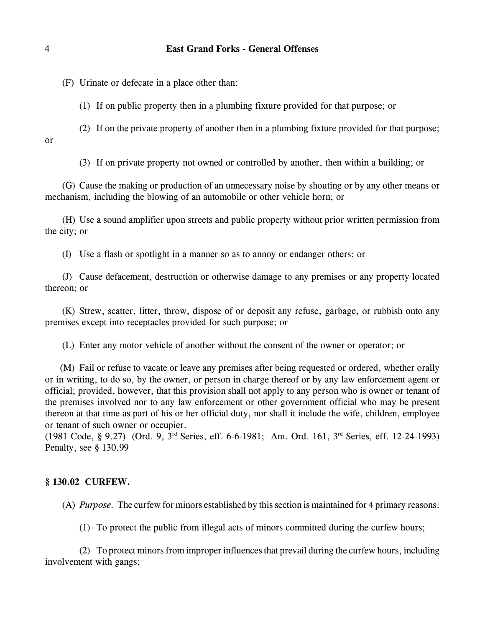(F) Urinate or defecate in a place other than:

(1) If on public property then in a plumbing fixture provided for that purpose; or

(2) If on the private property of another then in a plumbing fixture provided for that purpose; or

(3) If on private property not owned or controlled by another, then within a building; or

(G) Cause the making or production of an unnecessary noise by shouting or by any other means or mechanism, including the blowing of an automobile or other vehicle horn; or

(H) Use a sound amplifier upon streets and public property without prior written permission from the city; or

(I) Use a flash or spotlight in a manner so as to annoy or endanger others; or

(J) Cause defacement, destruction or otherwise damage to any premises or any property located thereon; or

(K) Strew, scatter, litter, throw, dispose of or deposit any refuse, garbage, or rubbish onto any premises except into receptacles provided for such purpose; or

(L) Enter any motor vehicle of another without the consent of the owner or operator; or

(M) Fail or refuse to vacate or leave any premises after being requested or ordered, whether orally or in writing, to do so, by the owner, or person in charge thereof or by any law enforcement agent or official; provided, however, that this provision shall not apply to any person who is owner or tenant of the premises involved nor to any law enforcement or other government official who may be present thereon at that time as part of his or her official duty, nor shall it include the wife, children, employee or tenant of such owner or occupier.

(1981 Code, § 9.27) (Ord. 9,  $3<sup>rd</sup>$  Series, eff. 6-6-1981; Am. Ord. 161,  $3<sup>rd</sup>$  Series, eff. 12-24-1993) Penalty, see § 130.99

#### **§ 130.02 CURFEW.**

(A) *Purpose.* The curfew for minors established by this section is maintained for 4 primary reasons:

(1) To protect the public from illegal acts of minors committed during the curfew hours;

(2) To protect minors from improper influencesthat prevail during the curfew hours, including involvement with gangs;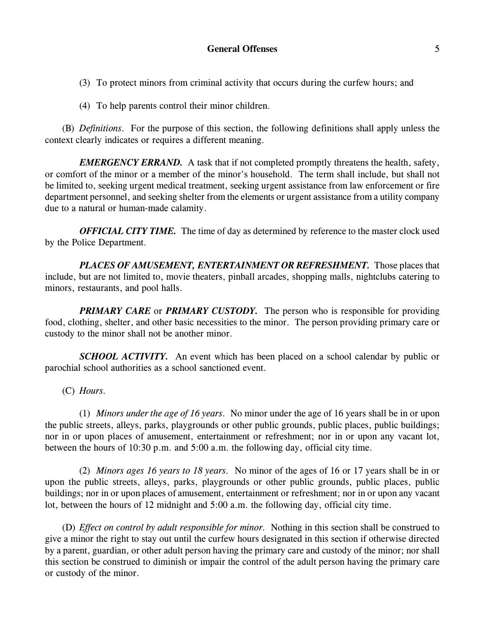(3) To protect minors from criminal activity that occurs during the curfew hours; and

(4) To help parents control their minor children.

(B) *Definitions.* For the purpose of this section, the following definitions shall apply unless the context clearly indicates or requires a different meaning.

*EMERGENCY ERRAND.* A task that if not completed promptly threatens the health, safety, or comfort of the minor or a member of the minor's household. The term shall include, but shall not be limited to, seeking urgent medical treatment, seeking urgent assistance from law enforcement or fire department personnel, and seeking shelter from the elements or urgent assistance from a utility company due to a natural or human-made calamity.

*OFFICIAL CITY TIME.* The time of day as determined by reference to the master clock used by the Police Department.

*PLACES OF AMUSEMENT, ENTERTAINMENT OR REFRESHMENT.* Those places that include, but are not limited to, movie theaters, pinball arcades, shopping malls, nightclubs catering to minors, restaurants, and pool halls.

*PRIMARY CARE* or *PRIMARY CUSTODY.* The person who is responsible for providing food, clothing, shelter, and other basic necessities to the minor. The person providing primary care or custody to the minor shall not be another minor.

*SCHOOL ACTIVITY*. An event which has been placed on a school calendar by public or parochial school authorities as a school sanctioned event.

(C) *Hours.*

(1) *Minors under the age of 16 years.* No minor under the age of 16 years shall be in or upon the public streets, alleys, parks, playgrounds or other public grounds, public places, public buildings; nor in or upon places of amusement, entertainment or refreshment; nor in or upon any vacant lot, between the hours of 10:30 p.m. and 5:00 a.m. the following day, official city time.

(2) *Minors ages 16 years to 18 years.* No minor of the ages of 16 or 17 years shall be in or upon the public streets, alleys, parks, playgrounds or other public grounds, public places, public buildings; nor in or upon places of amusement, entertainment or refreshment; nor in or upon any vacant lot, between the hours of 12 midnight and 5:00 a.m. the following day, official city time.

(D) *Effect on control by adult responsible for minor.* Nothing in this section shall be construed to give a minor the right to stay out until the curfew hours designated in this section if otherwise directed by a parent, guardian, or other adult person having the primary care and custody of the minor; nor shall this section be construed to diminish or impair the control of the adult person having the primary care or custody of the minor.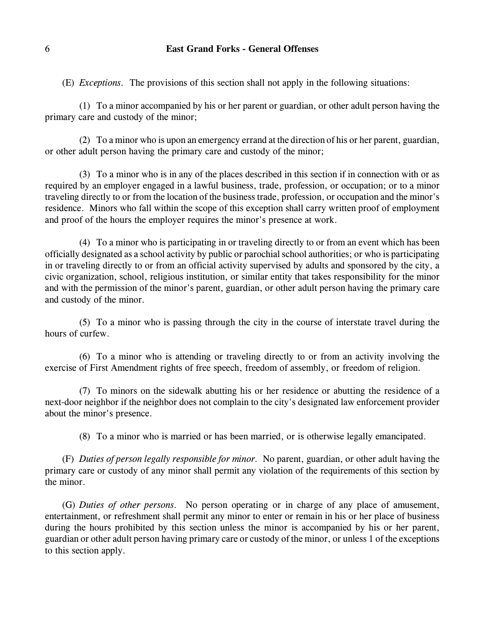(E) *Exceptions.* The provisions of this section shall not apply in the following situations:

(1) To a minor accompanied by his or her parent or guardian, or other adult person having the primary care and custody of the minor;

(2) To a minor who is upon an emergency errand at the direction of his or her parent, guardian, or other adult person having the primary care and custody of the minor;

(3) To a minor who is in any of the places described in this section if in connection with or as required by an employer engaged in a lawful business, trade, profession, or occupation; or to a minor traveling directly to or from the location of the business trade, profession, or occupation and the minor's residence. Minors who fall within the scope of this exception shall carry written proof of employment and proof of the hours the employer requires the minor's presence at work.

(4) To a minor who is participating in or traveling directly to or from an event which has been officially designated as a school activity by public or parochial school authorities; or who is participating in or traveling directly to or from an official activity supervised by adults and sponsored by the city, a civic organization, school, religious institution, or similar entity that takes responsibility for the minor and with the permission of the minor's parent, guardian, or other adult person having the primary care and custody of the minor.

(5) To a minor who is passing through the city in the course of interstate travel during the hours of curfew.

(6) To a minor who is attending or traveling directly to or from an activity involving the exercise of First Amendment rights of free speech, freedom of assembly, or freedom of religion.

(7) To minors on the sidewalk abutting his or her residence or abutting the residence of a next-door neighbor if the neighbor does not complain to the city's designated law enforcement provider about the minor's presence.

(8) To a minor who is married or has been married, or is otherwise legally emancipated.

(F) *Duties of person legally responsible for minor.* No parent, guardian, or other adult having the primary care or custody of any minor shall permit any violation of the requirements of this section by the minor.

(G) *Duties of other persons.* No person operating or in charge of any place of amusement, entertainment, or refreshment shall permit any minor to enter or remain in his or her place of business during the hours prohibited by this section unless the minor is accompanied by his or her parent, guardian or other adult person having primary care or custody of the minor, or unless 1 of the exceptions to this section apply.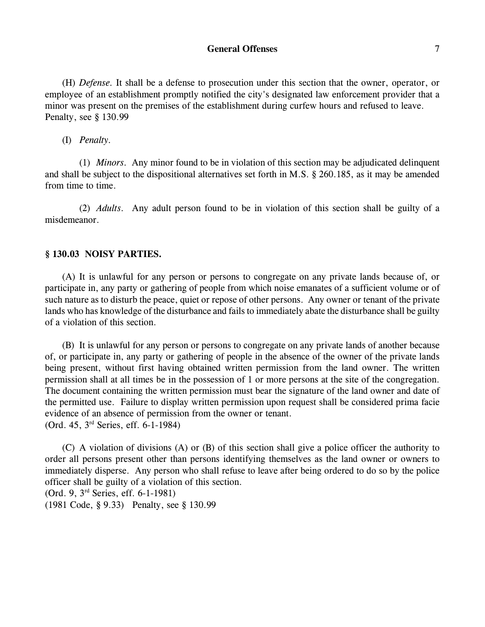### **General Offenses** 7

(H) *Defense.* It shall be a defense to prosecution under this section that the owner, operator, or employee of an establishment promptly notified the city's designated law enforcement provider that a minor was present on the premises of the establishment during curfew hours and refused to leave. Penalty, see § 130.99

(I) *Penalty.*

(1) *Minors.* Any minor found to be in violation of this section may be adjudicated delinquent and shall be subject to the dispositional alternatives set forth in M.S. § 260.185, as it may be amended from time to time.

(2) *Adults.* Any adult person found to be in violation of this section shall be guilty of a misdemeanor.

# **§ 130.03 NOISY PARTIES.**

(A) It is unlawful for any person or persons to congregate on any private lands because of, or participate in, any party or gathering of people from which noise emanates of a sufficient volume or of such nature as to disturb the peace, quiet or repose of other persons. Any owner or tenant of the private lands who has knowledge of the disturbance and fails to immediately abate the disturbance shall be guilty of a violation of this section.

(B) It is unlawful for any person or persons to congregate on any private lands of another because of, or participate in, any party or gathering of people in the absence of the owner of the private lands being present, without first having obtained written permission from the land owner. The written permission shall at all times be in the possession of 1 or more persons at the site of the congregation. The document containing the written permission must bear the signature of the land owner and date of the permitted use. Failure to display written permission upon request shall be considered prima facie evidence of an absence of permission from the owner or tenant. (Ord. 45, 3<sup>rd</sup> Series, eff. 6-1-1984)

(C) A violation of divisions (A) or (B) of this section shall give a police officer the authority to order all persons present other than persons identifying themselves as the land owner or owners to immediately disperse. Any person who shall refuse to leave after being ordered to do so by the police officer shall be guilty of a violation of this section. (Ord. 9, 3<sup>rd</sup> Series, eff. 6-1-1981)

(1981 Code, § 9.33) Penalty, see § 130.99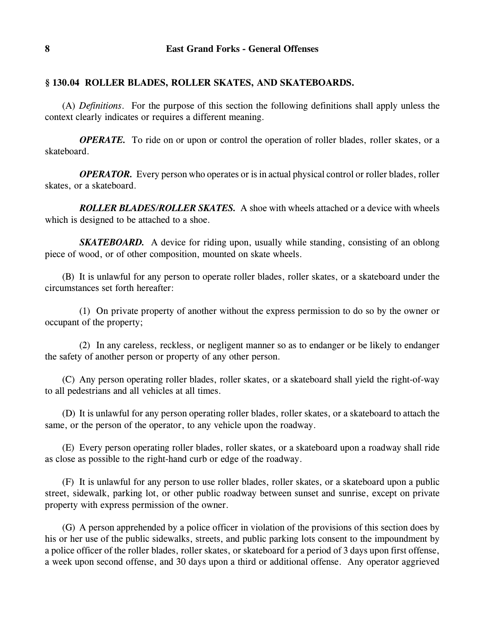# **§ 130.04 ROLLER BLADES, ROLLER SKATES, AND SKATEBOARDS.**

(A) *Definitions*. For the purpose of this section the following definitions shall apply unless the context clearly indicates or requires a different meaning.

*OPERATE.* To ride on or upon or control the operation of roller blades, roller skates, or a skateboard.

*OPERATOR.* Every person who operates or is in actual physical control or roller blades, roller skates, or a skateboard.

*ROLLER BLADES/ROLLER SKATES.* A shoe with wheels attached or a device with wheels which is designed to be attached to a shoe.

*SKATEBOARD.* A device for riding upon, usually while standing, consisting of an oblong piece of wood, or of other composition, mounted on skate wheels.

(B) It is unlawful for any person to operate roller blades, roller skates, or a skateboard under the circumstances set forth hereafter:

(1) On private property of another without the express permission to do so by the owner or occupant of the property;

(2) In any careless, reckless, or negligent manner so as to endanger or be likely to endanger the safety of another person or property of any other person.

(C) Any person operating roller blades, roller skates, or a skateboard shall yield the right-of-way to all pedestrians and all vehicles at all times.

(D) It is unlawful for any person operating roller blades, roller skates, or a skateboard to attach the same, or the person of the operator, to any vehicle upon the roadway.

(E) Every person operating roller blades, roller skates, or a skateboard upon a roadway shall ride as close as possible to the right-hand curb or edge of the roadway.

(F) It is unlawful for any person to use roller blades, roller skates, or a skateboard upon a public street, sidewalk, parking lot, or other public roadway between sunset and sunrise, except on private property with express permission of the owner.

(G) A person apprehended by a police officer in violation of the provisions of this section does by his or her use of the public sidewalks, streets, and public parking lots consent to the impoundment by a police officer of the roller blades, roller skates, or skateboard for a period of 3 days upon first offense, a week upon second offense, and 30 days upon a third or additional offense. Any operator aggrieved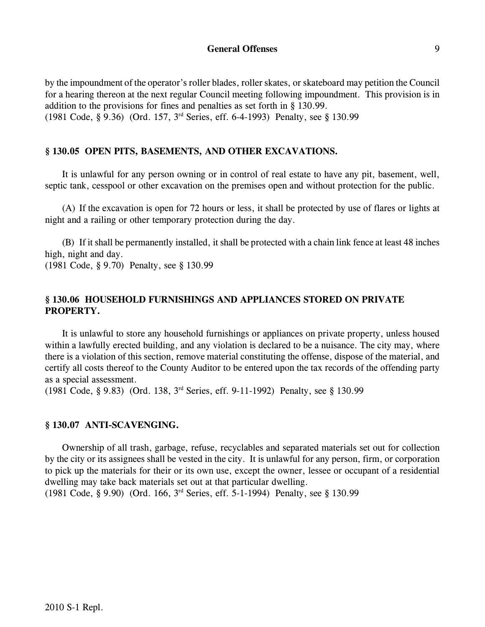## **General Offenses** 9

by the impoundment of the operator's roller blades, roller skates, or skateboard may petition the Council for a hearing thereon at the next regular Council meeting following impoundment. This provision is in addition to the provisions for fines and penalties as set forth in § 130.99. (1981 Code, § 9.36) (Ord. 157, 3<sup>rd</sup> Series, eff. 6-4-1993) Penalty, see § 130.99

### **§ 130.05 OPEN PITS, BASEMENTS, AND OTHER EXCAVATIONS.**

It is unlawful for any person owning or in control of real estate to have any pit, basement, well, septic tank, cesspool or other excavation on the premises open and without protection for the public.

(A) If the excavation is open for 72 hours or less, it shall be protected by use of flares or lights at night and a railing or other temporary protection during the day.

(B) If it shall be permanently installed, it shall be protected with a chain link fence at least 48 inches high, night and day.

(1981 Code, § 9.70) Penalty, see § 130.99

# **§ 130.06 HOUSEHOLD FURNISHINGS AND APPLIANCES STORED ON PRIVATE PROPERTY.**

It is unlawful to store any household furnishings or appliances on private property, unless housed within a lawfully erected building, and any violation is declared to be a nuisance. The city may, where there is a violation of this section, remove material constituting the offense, dispose of the material, and certify all costs thereof to the County Auditor to be entered upon the tax records of the offending party as a special assessment.

(1981 Code, § 9.83) (Ord. 138, 3<sup>rd</sup> Series, eff. 9-11-1992) Penalty, see § 130.99

#### **§ 130.07 ANTI-SCAVENGING.**

Ownership of all trash, garbage, refuse, recyclables and separated materials set out for collection by the city or its assignees shall be vested in the city. It is unlawful for any person, firm, or corporation to pick up the materials for their or its own use, except the owner, lessee or occupant of a residential dwelling may take back materials set out at that particular dwelling.

 $(1981 \text{ Code}, \S 9.90)$  (Ord. 166, 3<sup>rd</sup> Series, eff. 5-1-1994) Penalty, see § 130.99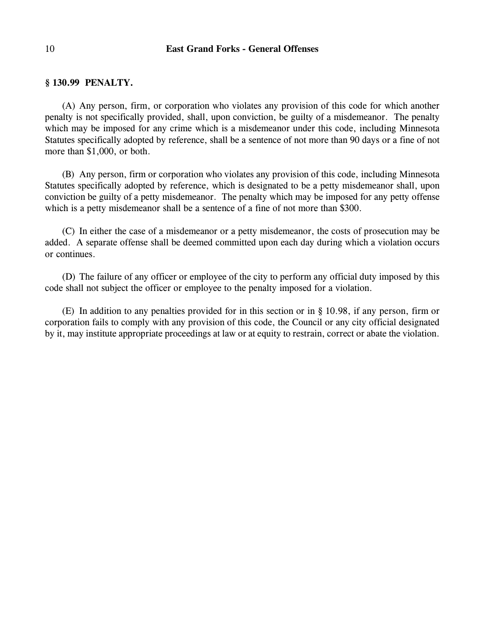# **§ 130.99 PENALTY.**

(A) Any person, firm, or corporation who violates any provision of this code for which another penalty is not specifically provided, shall, upon conviction, be guilty of a misdemeanor. The penalty which may be imposed for any crime which is a misdemeanor under this code, including Minnesota Statutes specifically adopted by reference, shall be a sentence of not more than 90 days or a fine of not more than \$1,000, or both.

(B) Any person, firm or corporation who violates any provision of this code, including Minnesota Statutes specifically adopted by reference, which is designated to be a petty misdemeanor shall, upon conviction be guilty of a petty misdemeanor. The penalty which may be imposed for any petty offense which is a petty misdemeanor shall be a sentence of a fine of not more than \$300.

(C) In either the case of a misdemeanor or a petty misdemeanor, the costs of prosecution may be added. A separate offense shall be deemed committed upon each day during which a violation occurs or continues.

(D) The failure of any officer or employee of the city to perform any official duty imposed by this code shall not subject the officer or employee to the penalty imposed for a violation.

(E) In addition to any penalties provided for in this section or in § 10.98, if any person, firm or corporation fails to comply with any provision of this code, the Council or any city official designated by it, may institute appropriate proceedings at law or at equity to restrain, correct or abate the violation.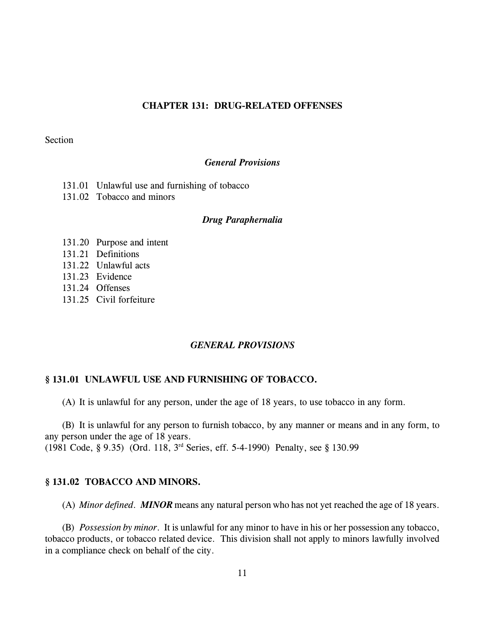## **CHAPTER 131: DRUG-RELATED OFFENSES**

#### Section

### *General Provisions*

- 131.01 Unlawful use and furnishing of tobacco
- 131.02 Tobacco and minors

#### *Drug Paraphernalia*

- 131.20 Purpose and intent
- 131.21 Definitions
- 131.22 Unlawful acts
- 131.23 Evidence
- 131.24 Offenses
- 131.25 Civil forfeiture

# *GENERAL PROVISIONS*

## **§ 131.01 UNLAWFUL USE AND FURNISHING OF TOBACCO.**

(A) It is unlawful for any person, under the age of 18 years, to use tobacco in any form.

(B) It is unlawful for any person to furnish tobacco, by any manner or means and in any form, to any person under the age of 18 years.

(1981 Code, § 9.35) (Ord. 118,  $3<sup>rd</sup>$  Series, eff. 5-4-1990) Penalty, see § 130.99

#### **§ 131.02 TOBACCO AND MINORS.**

(A) *Minor defined*. *MINOR* means any natural person who has not yet reached the age of 18 years.

(B) *Possession by minor*. It is unlawful for any minor to have in his or her possession any tobacco, tobacco products, or tobacco related device. This division shall not apply to minors lawfully involved in a compliance check on behalf of the city.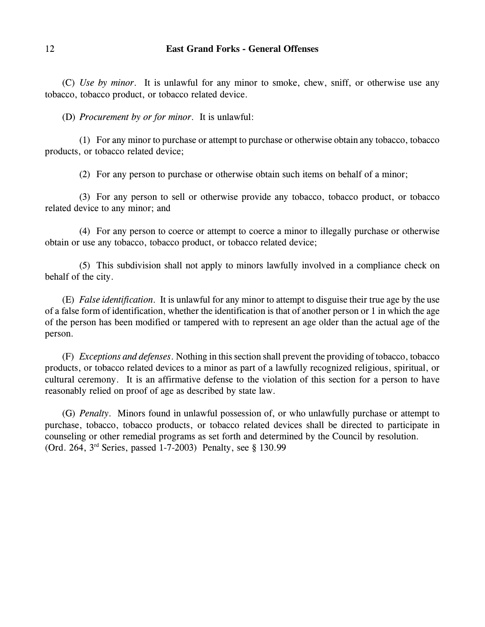(C) *Use by minor*. It is unlawful for any minor to smoke, chew, sniff, or otherwise use any tobacco, tobacco product, or tobacco related device.

(D) *Procurement by or for minor*. It is unlawful:

(1) For any minor to purchase or attempt to purchase or otherwise obtain any tobacco, tobacco products, or tobacco related device;

(2) For any person to purchase or otherwise obtain such items on behalf of a minor;

(3) For any person to sell or otherwise provide any tobacco, tobacco product, or tobacco related device to any minor; and

(4) For any person to coerce or attempt to coerce a minor to illegally purchase or otherwise obtain or use any tobacco, tobacco product, or tobacco related device;

(5) This subdivision shall not apply to minors lawfully involved in a compliance check on behalf of the city.

(E) *False identification*. It is unlawful for any minor to attempt to disguise their true age by the use of a false form of identification, whether the identification is that of another person or 1 in which the age of the person has been modified or tampered with to represent an age older than the actual age of the person.

(F) *Exceptions and defenses*. Nothing in this section shall prevent the providing of tobacco, tobacco products, or tobacco related devices to a minor as part of a lawfully recognized religious, spiritual, or cultural ceremony. It is an affirmative defense to the violation of this section for a person to have reasonably relied on proof of age as described by state law.

(G) *Penalty*. Minors found in unlawful possession of, or who unlawfully purchase or attempt to purchase, tobacco, tobacco products, or tobacco related devices shall be directed to participate in counseling or other remedial programs as set forth and determined by the Council by resolution. (Ord. 264, 3<sup>rd</sup> Series, passed 1-7-2003) Penalty, see § 130.99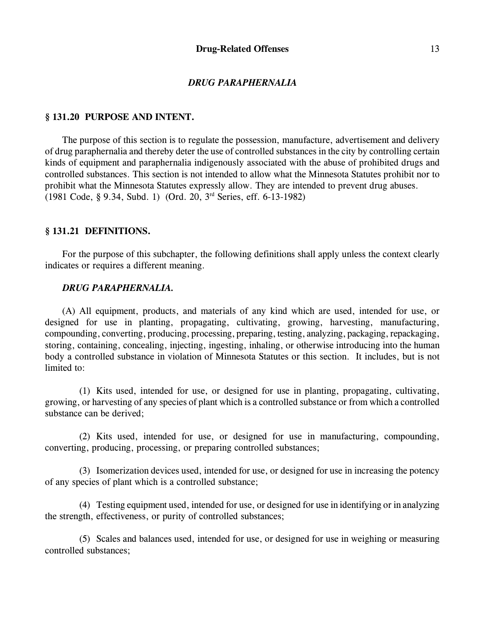### *DRUG PARAPHERNALIA*

## **§ 131.20 PURPOSE AND INTENT.**

The purpose of this section is to regulate the possession, manufacture, advertisement and delivery of drug paraphernalia and thereby deter the use of controlled substances in the city by controlling certain kinds of equipment and paraphernalia indigenously associated with the abuse of prohibited drugs and controlled substances. This section is not intended to allow what the Minnesota Statutes prohibit nor to prohibit what the Minnesota Statutes expressly allow. They are intended to prevent drug abuses.  $(1981 \text{ Code}, \text{§ } 9.34, \text{Subd. 1})$   $(Ord. 20, 3<sup>rd</sup> Series, eff. 6-13-1982)$ 

## **§ 131.21 DEFINITIONS.**

For the purpose of this subchapter, the following definitions shall apply unless the context clearly indicates or requires a different meaning.

#### *DRUG PARAPHERNALIA.*

(A) All equipment, products, and materials of any kind which are used, intended for use, or designed for use in planting, propagating, cultivating, growing, harvesting, manufacturing, compounding, converting, producing, processing, preparing, testing, analyzing, packaging, repackaging, storing, containing, concealing, injecting, ingesting, inhaling, or otherwise introducing into the human body a controlled substance in violation of Minnesota Statutes or this section. It includes, but is not limited to:

(1) Kits used, intended for use, or designed for use in planting, propagating, cultivating, growing, or harvesting of any species of plant which is a controlled substance or from which a controlled substance can be derived;

(2) Kits used, intended for use, or designed for use in manufacturing, compounding, converting, producing, processing, or preparing controlled substances;

(3) Isomerization devices used, intended for use, or designed for use in increasing the potency of any species of plant which is a controlled substance;

(4) Testing equipment used, intended for use, or designed for use in identifying or in analyzing the strength, effectiveness, or purity of controlled substances;

(5) Scales and balances used, intended for use, or designed for use in weighing or measuring controlled substances;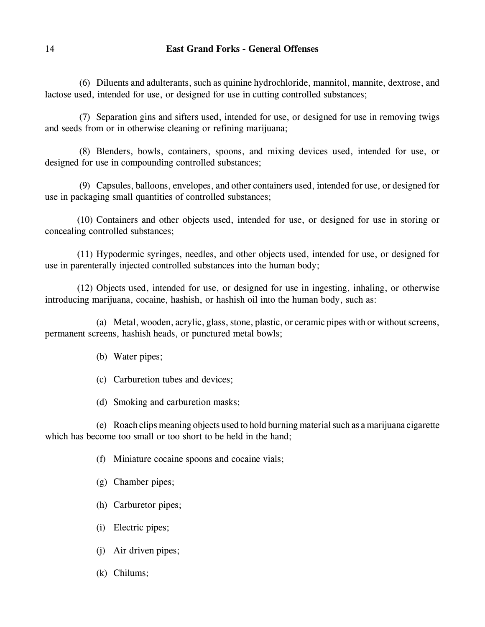(6) Diluents and adulterants, such as quinine hydrochloride, mannitol, mannite, dextrose, and lactose used, intended for use, or designed for use in cutting controlled substances;

(7) Separation gins and sifters used, intended for use, or designed for use in removing twigs and seeds from or in otherwise cleaning or refining marijuana;

(8) Blenders, bowls, containers, spoons, and mixing devices used, intended for use, or designed for use in compounding controlled substances;

(9) Capsules, balloons, envelopes, and other containers used, intended for use, or designed for use in packaging small quantities of controlled substances;

(10) Containers and other objects used, intended for use, or designed for use in storing or concealing controlled substances;

(11) Hypodermic syringes, needles, and other objects used, intended for use, or designed for use in parenterally injected controlled substances into the human body;

(12) Objects used, intended for use, or designed for use in ingesting, inhaling, or otherwise introducing marijuana, cocaine, hashish, or hashish oil into the human body, such as:

(a) Metal, wooden, acrylic, glass, stone, plastic, or ceramic pipes with or without screens, permanent screens, hashish heads, or punctured metal bowls;

(b) Water pipes;

(c) Carburetion tubes and devices;

(d) Smoking and carburetion masks;

(e) Roach clips meaning objects used to hold burning material such as a marijuana cigarette which has become too small or too short to be held in the hand:

(f) Miniature cocaine spoons and cocaine vials;

(g) Chamber pipes;

- (h) Carburetor pipes;
- (i) Electric pipes;
- (j) Air driven pipes;
- (k) Chilums;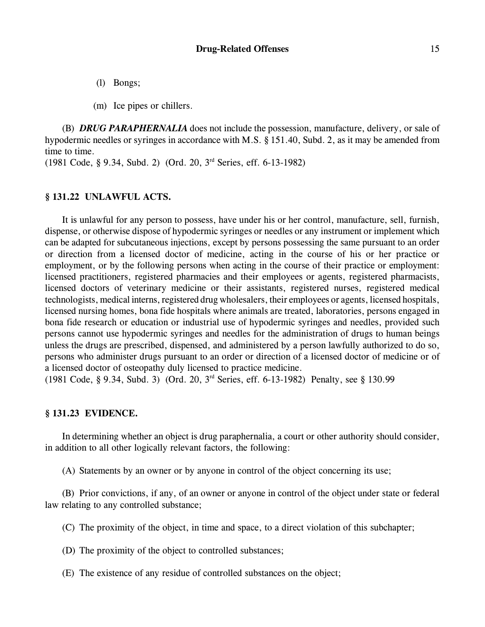(l) Bongs;

(m) Ice pipes or chillers.

(B) *DRUG PARAPHERNALIA* does not include the possession, manufacture, delivery, or sale of hypodermic needles or syringes in accordance with M.S. § 151.40, Subd. 2, as it may be amended from time to time.

 $(1981 \text{ Code}, \text{§ } 9.34, \text{Subd. 2})$  (Ord. 20, 3<sup>rd</sup> Series, eff. 6-13-1982)

### **§ 131.22 UNLAWFUL ACTS.**

It is unlawful for any person to possess, have under his or her control, manufacture, sell, furnish, dispense, or otherwise dispose of hypodermic syringes or needles or any instrument or implement which can be adapted for subcutaneous injections, except by persons possessing the same pursuant to an order or direction from a licensed doctor of medicine, acting in the course of his or her practice or employment, or by the following persons when acting in the course of their practice or employment: licensed practitioners, registered pharmacies and their employees or agents, registered pharmacists, licensed doctors of veterinary medicine or their assistants, registered nurses, registered medical technologists, medical interns, registered drug wholesalers, their employees or agents, licensed hospitals, licensed nursing homes, bona fide hospitals where animals are treated, laboratories, persons engaged in bona fide research or education or industrial use of hypodermic syringes and needles, provided such persons cannot use hypodermic syringes and needles for the administration of drugs to human beings unless the drugs are prescribed, dispensed, and administered by a person lawfully authorized to do so, persons who administer drugs pursuant to an order or direction of a licensed doctor of medicine or of a licensed doctor of osteopathy duly licensed to practice medicine.

(1981 Code, § 9.34, Subd. 3) (Ord. 20, 3<sup>rd</sup> Series, eff. 6-13-1982) Penalty, see § 130.99

## **§ 131.23 EVIDENCE.**

In determining whether an object is drug paraphernalia, a court or other authority should consider, in addition to all other logically relevant factors, the following:

(A) Statements by an owner or by anyone in control of the object concerning its use;

(B) Prior convictions, if any, of an owner or anyone in control of the object under state or federal law relating to any controlled substance;

(C) The proximity of the object, in time and space, to a direct violation of this subchapter;

(D) The proximity of the object to controlled substances;

(E) The existence of any residue of controlled substances on the object;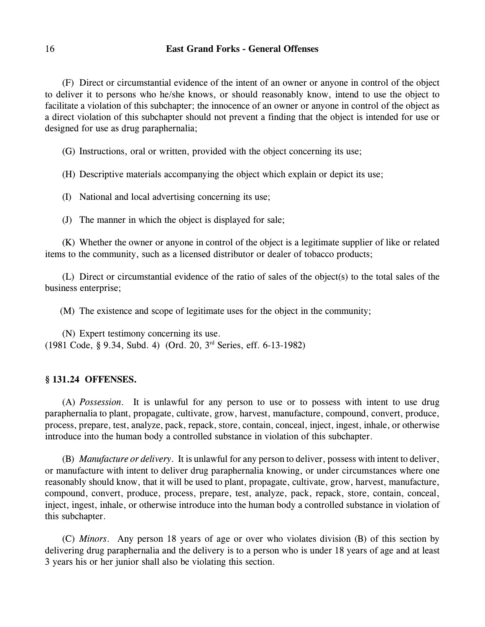(F) Direct or circumstantial evidence of the intent of an owner or anyone in control of the object to deliver it to persons who he/she knows, or should reasonably know, intend to use the object to facilitate a violation of this subchapter; the innocence of an owner or anyone in control of the object as a direct violation of this subchapter should not prevent a finding that the object is intended for use or designed for use as drug paraphernalia;

(G) Instructions, oral or written, provided with the object concerning its use;

(H) Descriptive materials accompanying the object which explain or depict its use;

(I) National and local advertising concerning its use;

(J) The manner in which the object is displayed for sale;

(K) Whether the owner or anyone in control of the object is a legitimate supplier of like or related items to the community, such as a licensed distributor or dealer of tobacco products;

(L) Direct or circumstantial evidence of the ratio of sales of the object(s) to the total sales of the business enterprise;

(M) The existence and scope of legitimate uses for the object in the community;

(N) Expert testimony concerning its use.  $(1981 \text{ Code}, \text{§ } 9.34, \text{Subd. } 4)$  (Ord. 20, 3<sup>rd</sup> Series, eff. 6-13-1982)

# **§ 131.24 OFFENSES.**

(A) *Possession*. It is unlawful for any person to use or to possess with intent to use drug paraphernalia to plant, propagate, cultivate, grow, harvest, manufacture, compound, convert, produce, process, prepare, test, analyze, pack, repack, store, contain, conceal, inject, ingest, inhale, or otherwise introduce into the human body a controlled substance in violation of this subchapter.

(B) *Manufacture or delivery*. It is unlawful for any person to deliver, possess with intent to deliver, or manufacture with intent to deliver drug paraphernalia knowing, or under circumstances where one reasonably should know, that it will be used to plant, propagate, cultivate, grow, harvest, manufacture, compound, convert, produce, process, prepare, test, analyze, pack, repack, store, contain, conceal, inject, ingest, inhale, or otherwise introduce into the human body a controlled substance in violation of this subchapter.

(C) *Minors*. Any person 18 years of age or over who violates division (B) of this section by delivering drug paraphernalia and the delivery is to a person who is under 18 years of age and at least 3 years his or her junior shall also be violating this section.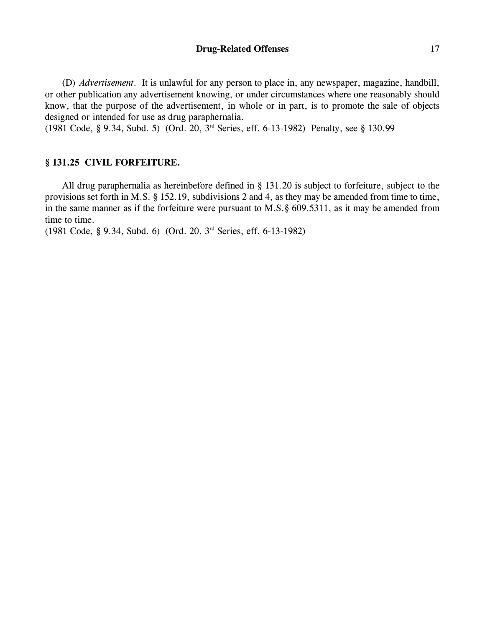## **Drug-Related Offenses** 17

(D) *Advertisement*. It is unlawful for any person to place in, any newspaper, magazine, handbill, or other publication any advertisement knowing, or under circumstances where one reasonably should know, that the purpose of the advertisement, in whole or in part, is to promote the sale of objects designed or intended for use as drug paraphernalia.

(1981 Code, § 9.34, Subd. 5) (Ord. 20, 3<sup>rd</sup> Series, eff. 6-13-1982) Penalty, see § 130.99

# **§ 131.25 CIVIL FORFEITURE.**

All drug paraphernalia as hereinbefore defined in § 131.20 is subject to forfeiture, subject to the provisions set forth in M.S. § 152.19, subdivisions 2 and 4, as they may be amended from time to time, in the same manner as if the forfeiture were pursuant to M.S.§ 609.5311, as it may be amended from time to time.

(1981 Code, § 9.34, Subd. 6) (Ord. 20,  $3<sup>rd</sup>$  Series, eff. 6-13-1982)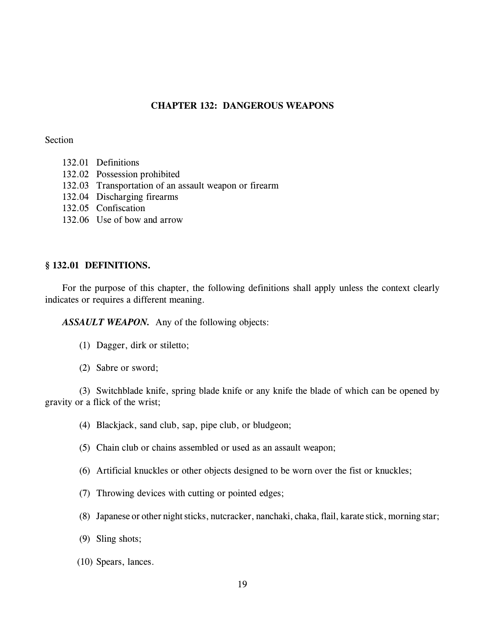# **CHAPTER 132: DANGEROUS WEAPONS**

### Section

- 132.01 Definitions
- 132.02 Possession prohibited
- 132.03 Transportation of an assault weapon or firearm
- 132.04 Discharging firearms
- 132.05 Confiscation
- 132.06 Use of bow and arrow

# **§ 132.01 DEFINITIONS.**

For the purpose of this chapter, the following definitions shall apply unless the context clearly indicates or requires a different meaning.

*ASSAULT WEAPON.* Any of the following objects:

- (1) Dagger, dirk or stiletto;
- (2) Sabre or sword;

(3) Switchblade knife, spring blade knife or any knife the blade of which can be opened by gravity or a flick of the wrist;

- (4) Blackjack, sand club, sap, pipe club, or bludgeon;
- (5) Chain club or chains assembled or used as an assault weapon;
- (6) Artificial knuckles or other objects designed to be worn over the fist or knuckles;
- (7) Throwing devices with cutting or pointed edges;
- (8) Japanese or other night sticks, nutcracker, nanchaki, chaka, flail, karate stick, morning star;
- (9) Sling shots;
- (10) Spears, lances.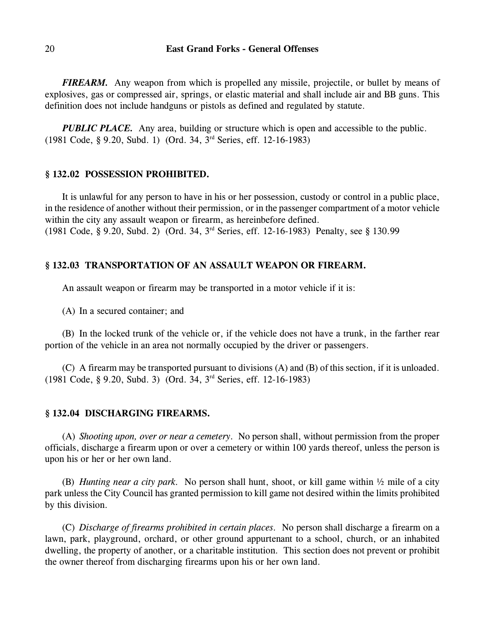*FIREARM.* Any weapon from which is propelled any missile, projectile, or bullet by means of explosives, gas or compressed air, springs, or elastic material and shall include air and BB guns. This definition does not include handguns or pistols as defined and regulated by statute.

*PUBLIC PLACE.* Any area, building or structure which is open and accessible to the public.  $(1981 \text{ Code}, \text{§ } 9.20, \text{Subd. 1})$  (Ord. 34, 3<sup>rd</sup> Series, eff. 12-16-1983)

### **§ 132.02 POSSESSION PROHIBITED.**

It is unlawful for any person to have in his or her possession, custody or control in a public place, in the residence of another without their permission, or in the passenger compartment of a motor vehicle within the city any assault weapon or firearm, as hereinbefore defined. (1981 Code, § 9.20, Subd. 2) (Ord. 34, 3<sup>rd</sup> Series, eff. 12-16-1983) Penalty, see § 130.99

# **§ 132.03 TRANSPORTATION OF AN ASSAULT WEAPON OR FIREARM.**

An assault weapon or firearm may be transported in a motor vehicle if it is:

(A) In a secured container; and

(B) In the locked trunk of the vehicle or, if the vehicle does not have a trunk, in the farther rear portion of the vehicle in an area not normally occupied by the driver or passengers.

(C) A firearm may be transported pursuant to divisions (A) and (B) of this section, if it is unloaded.  $(1981 \text{ Code}, \text{§ } 9.20, \text{Subd. } 3)$  (Ord. 34, 3<sup>rd</sup> Series, eff. 12-16-1983)

#### **§ 132.04 DISCHARGING FIREARMS.**

(A) *Shooting upon, over or near a cemetery.* No person shall, without permission from the proper officials, discharge a firearm upon or over a cemetery or within 100 yards thereof, unless the person is upon his or her or her own land.

(B) *Hunting near a city park.* No person shall hunt, shoot, or kill game within ½ mile of a city park unless the City Council has granted permission to kill game not desired within the limits prohibited by this division.

(C) *Discharge of firearms prohibited in certain places.* No person shall discharge a firearm on a lawn, park, playground, orchard, or other ground appurtenant to a school, church, or an inhabited dwelling, the property of another, or a charitable institution. This section does not prevent or prohibit the owner thereof from discharging firearms upon his or her own land.